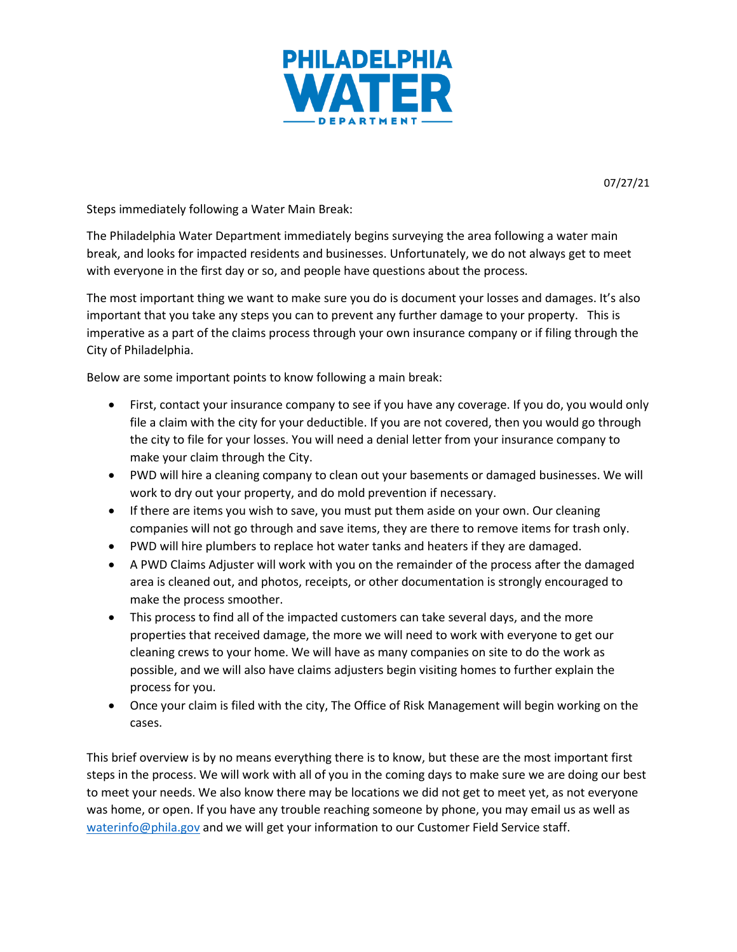

07/27/21

Steps immediately following a Water Main Break:

The Philadelphia Water Department immediately begins surveying the area following a water main break, and looks for impacted residents and businesses. Unfortunately, we do not always get to meet with everyone in the first day or so, and people have questions about the process.

The most important thing we want to make sure you do is document your losses and damages. It's also important that you take any steps you can to prevent any further damage to your property. This is imperative as a part of the claims process through your own insurance company or if filing through the City of Philadelphia.

Below are some important points to know following a main break:

- First, contact your insurance company to see if you have any coverage. If you do, you would only file a claim with the city for your deductible. If you are not covered, then you would go through the city to file for your losses. You will need a denial letter from your insurance company to make your claim through the City.
- PWD will hire a cleaning company to clean out your basements or damaged businesses. We will work to dry out your property, and do mold prevention if necessary.
- If there are items you wish to save, you must put them aside on your own. Our cleaning companies will not go through and save items, they are there to remove items for trash only.
- PWD will hire plumbers to replace hot water tanks and heaters if they are damaged.
- A PWD Claims Adjuster will work with you on the remainder of the process after the damaged area is cleaned out, and photos, receipts, or other documentation is strongly encouraged to make the process smoother.
- This process to find all of the impacted customers can take several days, and the more properties that received damage, the more we will need to work with everyone to get our cleaning crews to your home. We will have as many companies on site to do the work as possible, and we will also have claims adjusters begin visiting homes to further explain the process for you.
- Once your claim is filed with the city, The Office of Risk Management will begin working on the cases.

This brief overview is by no means everything there is to know, but these are the most important first steps in the process. We will work with all of you in the coming days to make sure we are doing our best to meet your needs. We also know there may be locations we did not get to meet yet, as not everyone was home, or open. If you have any trouble reaching someone by phone, you may email us as well as [waterinfo@phila.gov](mailto:waterinfo@phila.gov) and we will get your information to our Customer Field Service staff.